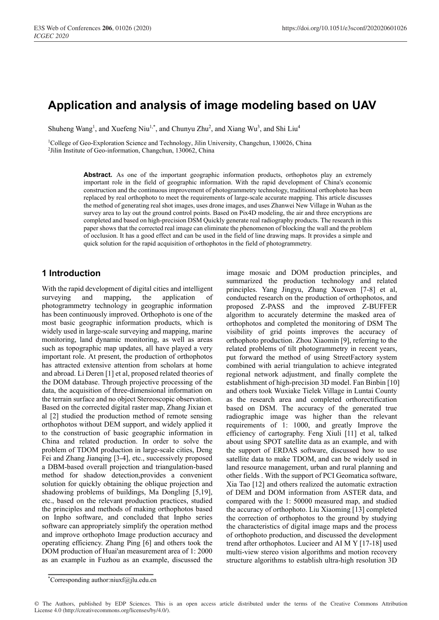# **Application and analysis of image modeling based on UAV**

Shuheng Wang<sup>1</sup>, and Xuefeng Niu<sup>1,\*</sup>, and Chunyu Zhu<sup>2</sup>, and Xiang Wu<sup>3</sup>, and Shi Liu<sup>4</sup>

<sup>1</sup>College of Geo-Exploration Science and Technology, Jilin University, Changchun, 130026, China <sup>2</sup>Jilin Institute of Geo-information, Changchun, 130062, China

Abstract. As one of the important geographic information products, orthophotos play an extremely important role in the field of geographic information. With the rapid development of China's economic construction and the continuous improvement of photogrammetry technology, traditional orthophoto has been replaced by real orthophoto to meet the requirements of large-scale accurate mapping. This article discusses the method of generating real shot images, uses drone images, and uses Zhanwei New Village in Wuhan as the survey area to lay out the ground control points. Based on Pix4D modeling, the air and three encryptions are completed and based on high-precision DSM Quickly generate real radiography products. The research in this paper shows that the corrected real image can eliminate the phenomenon of blocking the wall and the problem of occlusion. It has a good effect and can be used in the field of line drawing maps. It provides a simple and quick solution for the rapid acquisition of orthophotos in the field of photogrammetry.

# **1 Introduction**

With the rapid development of digital cities and intelligent surveying and mapping, the application of photogrammetry technology in geographic information has been continuously improved. Orthophoto is one of the most basic geographic information products, which is widely used in large-scale surveying and mapping, marine monitoring, land dynamic monitoring, as well as areas such as topographic map updates, all have played a very important role. At present, the production of orthophotos has attracted extensive attention from scholars at home and abroad. Li Deren [1] et al, proposed related theories of the DOM database. Through projective processing of the data, the acquisition of three-dimensional information on the terrain surface and no object Stereoscopic observation. Based on the corrected digital raster map, Zhang Jixian et al [2] studied the production method of remote sensing orthophotos without DEM support, and widely applied it to the construction of basic geographic information in China and related production. In order to solve the problem of TDOM production in large-scale cities, Deng Fei and Zhang Jianqing [3-4], etc., successively proposed a DBM-based overall projection and triangulation-based method for shadow detection,provides a convenient solution for quickly obtaining the oblique projection and shadowing problems of buildings, Ma Dongling [5,19], etc., based on the relevant production practices, studied the principles and methods of making orthophotos based on Inpho software, and concluded that Inpho series software can appropriately simplify the operation method and improve orthophoto Image production accuracy and operating efficiency. Zhang Ping [6] and others took the DOM production of Huai'an measurement area of 1: 2000 as an example in Fuzhou as an example, discussed the

image mosaic and DOM production principles, and summarized the production technology and related principles. Yang Jingyu, Zhang Xuewen [7-8] et al, conducted research on the production of orthophotos, and proposed Z-PASS and the improved Z-BUFFER algorithm to accurately determine the masked area of orthophotos and completed the monitoring of DSM The visibility of grid points improves the accuracy of orthophoto production. Zhou Xiaomin [9], referring to the related problems of tilt photogrammetry in recent years, put forward the method of using StreetFactory system combined with aerial triangulation to achieve integrated regional network adjustment, and finally complete the establishment of high-precision 3D model. Fan Binbin [10] and others took Wuxiake Tielek Village in Luntai County as the research area and completed orthorectification based on DSM. The accuracy of the generated true radiographic image was higher than the relevant requirements of 1: 1000, and greatly Improve the efficiency of cartography. Feng Xiuli [11] et al, talked about using SPOT satellite data as an example, and with the support of ERDAS software, discussed how to use satellite data to make TDOM, and can be widely used in land resource management, urban and rural planning and other fields . With the support of PCI Geomatica software, Xia Tao [12] and others realized the automatic extraction of DEM and DOM information from ASTER data, and compared with the 1: 50000 measured map, and studied the accuracy of orthophoto. Liu Xiaoming [13] completed the correction of orthophotos to the ground by studying the characteristics of digital image maps and the process of orthophoto production, and discussed the development trend after orthophotos. Lucieer and AI M Y [17-18] used multi-view stereo vision algorithms and motion recovery structure algorithms to establish ultra-high resolution 3D

© The Authors, published by EDP Sciences. This is an open access article distributed under the terms of the Creative Commons Attribution License 4.0 (http://creativecommons.org/licenses/by/4.0/).

<sup>\*</sup>Corresponding author:niuxf@jlu.edu.cn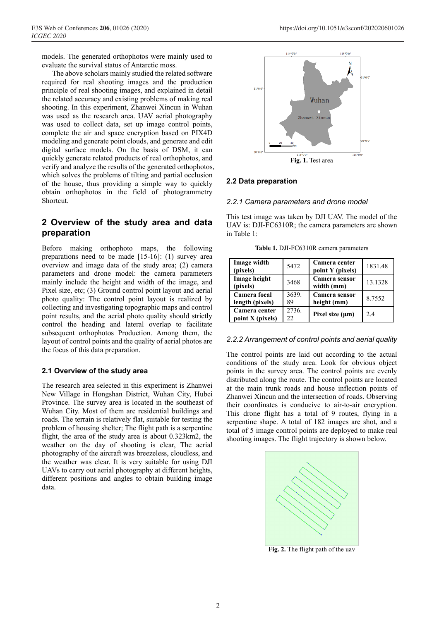models. The generated orthophotos were mainly used to evaluate the survival status of Antarctic moss.

The above scholars mainly studied the related software required for real shooting images and the production principle of real shooting images, and explained in detail the related accuracy and existing problems of making real shooting. In this experiment, Zhanwei Xincun in Wuhan was used as the research area. UAV aerial photography was used to collect data, set up image control points, complete the air and space encryption based on PIX4D modeling and generate point clouds, and generate and edit digital surface models. On the basis of DSM, it can quickly generate related products of real orthophotos, and verify and analyze the results of the generated orthophotos, which solves the problems of tilting and partial occlusion of the house, thus providing a simple way to quickly obtain orthophotos in the field of photogrammetry Shortcut.

# **2 Overview of the study area and data preparation**

Before making orthophoto maps, the following preparations need to be made [15-16]: (1) survey area overview and image data of the study area; (2) camera parameters and drone model: the camera parameters mainly include the height and width of the image, and Pixel size, etc; (3) Ground control point layout and aerial photo quality: The control point layout is realized by collecting and investigating topographic maps and control point results, and the aerial photo quality should strictly control the heading and lateral overlap to facilitate subsequent orthophotos Production. Among them, the layout of control points and the quality of aerial photos are the focus of this data preparation.

### **2.1 Overview of the study area**

The research area selected in this experiment is Zhanwei New Village in Hongshan District, Wuhan City, Hubei Province. The survey area is located in the southeast of Wuhan City. Most of them are residential buildings and roads. The terrain is relatively flat, suitable for testing the problem of housing shelter; The flight path is a serpentine flight, the area of the study area is about 0.323km2, the weather on the day of shooting is clear, The aerial photography of the aircraft was breezeless, cloudless, and the weather was clear. It is very suitable for using DJI UAVs to carry out aerial photography at different heights, different positions and angles to obtain building image data.



### **2.2 Data preparation**

#### *2.2.1 Camera parameters and drone model*

This test image was taken by DJI UAV. The model of the UAV is: DJI-FC6310R; the camera parameters are shown in Table 1:

**Table 1.** DJI-FC6310R camera parameters

| Image width<br>(pixels)           | 5472         | Camera center<br>point Y (pixels) | 1831.48 |
|-----------------------------------|--------------|-----------------------------------|---------|
| Image height<br>(pixels)          | 3468         | Camera sensor<br>width (mm)       | 13.1328 |
| Camera focal<br>length (pixels)   | 3639.<br>89  | Camera sensor<br>height (mm)      | 8.7552  |
| Camera center<br>point X (pixels) | 2736.<br>22. | Pixel size $(\mu m)$              | 24      |

### *2.2.2 Arrangement of control points and aerial quality*

The control points are laid out according to the actual conditions of the study area. Look for obvious object points in the survey area. The control points are evenly distributed along the route. The control points are located at the main trunk roads and house inflection points of Zhanwei Xincun and the intersection of roads. Observing their coordinates is conducive to air-to-air encryption. This drone flight has a total of 9 routes, flying in a serpentine shape. A total of 182 images are shot, and a total of 5 image control points are deployed to make real shooting images. The flight trajectory is shown below.



**Fig. 2.** The flight path of the uav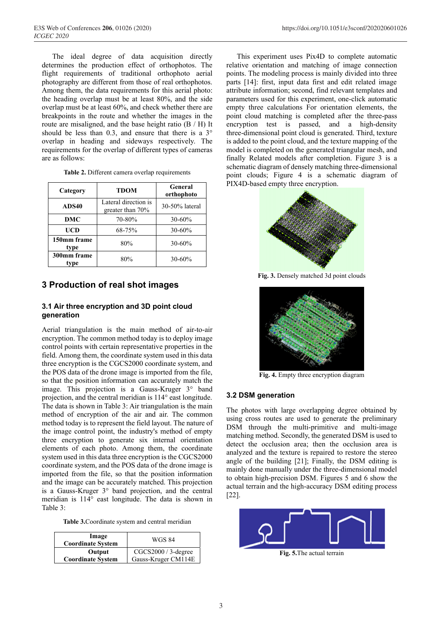The ideal degree of data acquisition directly determines the production effect of orthophotos. The flight requirements of traditional orthophoto aerial photography are different from those of real orthophotos. Among them, the data requirements for this aerial photo: the heading overlap must be at least 80%, and the side overlap must be at least 60%, and check whether there are breakpoints in the route and whether the images in the route are misaligned, and the base height ratio (B / H) It should be less than 0.3, and ensure that there is a 3° overlap in heading and sideways respectively. The requirements for the overlap of different types of cameras are as follows:

| Category            | <b>TDOM</b>                                 | General<br>orthophoto |
|---------------------|---------------------------------------------|-----------------------|
| ADS40               | Lateral direction is<br>greater than $70\%$ | 30-50% lateral        |
| DMC                 | 70-80%                                      | 30-60%                |
| UCD                 | 68-75%                                      | 30-60%                |
| 150mm frame<br>type | 80%                                         | 30-60%                |
| 300mm frame<br>tvpe | 80%                                         | 30-60%                |

| Table 2. Different camera overlap requirements |  |  |
|------------------------------------------------|--|--|
|------------------------------------------------|--|--|

### **3 Production of real shot images**

### **3.1 Air three encryption and 3D point cloud generation**

Aerial triangulation is the main method of air-to-air encryption. The common method today is to deploy image control points with certain representative properties in the field. Among them, the coordinate system used in this data three encryption is the CGCS2000 coordinate system, and the POS data of the drone image is imported from the file, so that the position information can accurately match the image. This projection is a Gauss-Kruger 3° band projection, and the central meridian is 114° east longitude. The data is shown in Table 3: Air triangulation is the main method of encryption of the air and air. The common method today is to represent the field layout. The nature of the image control point, the industry's method of empty three encryption to generate six internal orientation elements of each photo. Among them, the coordinate system used in this data three encryption is the CGCS2000 coordinate system, and the POS data of the drone image is imported from the file, so that the position information and the image can be accurately matched. This projection is a Gauss-Kruger 3° band projection, and the central meridian is 114° east longitude. The data is shown in Table 3:

**Table 3.**Coordinate system and central meridian

| Image<br><b>Coordinate System</b> | <b>WGS 84</b>         |
|-----------------------------------|-----------------------|
| Output                            | $CGCS2000 / 3-degree$ |
| <b>Coordinate System</b>          | Gauss-Kruger CM114E   |

This experiment uses Pix4D to complete automatic relative orientation and matching of image connection points. The modeling process is mainly divided into three parts [14]: first, input data first and edit related image attribute information; second, find relevant templates and parameters used for this experiment, one-click automatic empty three calculations For orientation elements, the point cloud matching is completed after the three-pass encryption test is passed, and a high-density three-dimensional point cloud is generated. Third, texture is added to the point cloud, and the texture mapping of the model is completed on the generated triangular mesh, and finally Related models after completion. Figure 3 is a schematic diagram of densely matching three-dimensional point clouds; Figure 4 is a schematic diagram of PIX4D-based empty three encryption.



**Fig. 3.** Densely matched 3d point clouds



**Fig. 4.** Empty three encryption diagram

### **3.2 DSM generation**

The photos with large overlapping degree obtained by using cross routes are used to generate the preliminary DSM through the multi-primitive and multi-image matching method. Secondly, the generated DSM is used to detect the occlusion area; then the occlusion area is analyzed and the texture is repaired to restore the stereo angle of the building [21]; Finally, the DSM editing is mainly done manually under the three-dimensional model to obtain high-precision DSM. Figures 5 and 6 show the actual terrain and the high-accuracy DSM editing process [22].



**Fig. 5.**The actual terrain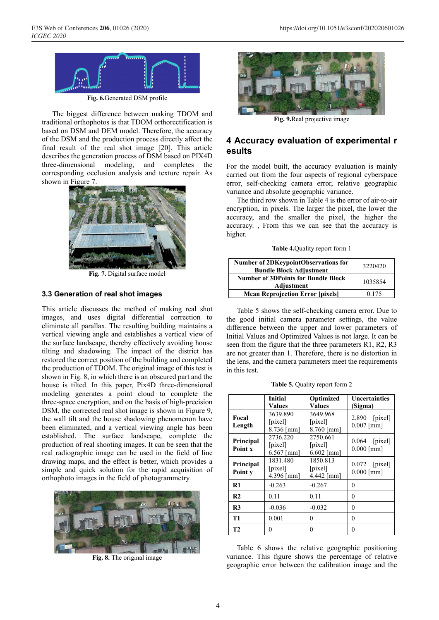

**Fig. 6.**Generated DSM profile

The biggest difference between making TDOM and traditional orthophotos is that TDOM orthorectification is based on DSM and DEM model. Therefore, the accuracy of the DSM and the production process directly affect the final result of the real shot image [20]. This article describes the generation process of DSM based on PIX4D three-dimensional modeling, and completes the corresponding occlusion analysis and texture repair. As shown in Figure 7.



**Fig. 7.** Digital surface model

### **3.3 Generation of real shot images**

This article discusses the method of making real shot images, and uses digital differential correction to eliminate all parallax. The resulting building maintains a vertical viewing angle and establishes a vertical view of the surface landscape, thereby effectively avoiding house tilting and shadowing. The impact of the district has restored the correct position of the building and completed the production of TDOM. The original image of this test is shown in Fig. 8, in which there is an obscured part and the house is tilted. In this paper, Pix4D three-dimensional modeling generates a point cloud to complete the three-space encryption, and on the basis of high-precision DSM, the corrected real shot image is shown in Figure 9, the wall tilt and the house shadowing phenomenon have been eliminated, and a vertical viewing angle has been established. The surface landscape, complete the production of real shooting images. It can be seen that the real radiographic image can be used in the field of line drawing maps, and the effect is better, which provides a simple and quick solution for the rapid acquisition of orthophoto images in the field of photogrammetry.



**Fig. 8.** The original image



**Fig. 9.**Real projective image

# **4 Accuracy evaluation of experimental r esults**

For the model built, the accuracy evaluation is mainly carried out from the four aspects of regional cyberspace error, self-checking camera error, relative geographic variance and absolute geographic variance.

The third row shown in Table 4 is the error of air-to-air encryption, in pixels. The larger the pixel, the lower the accuracy, and the smaller the pixel, the higher the accuracy. , From this we can see that the accuracy is higher.

|  |  | Table 4. Quality report form 1 |
|--|--|--------------------------------|
|--|--|--------------------------------|

| <b>Number of 2DKeypointObservations for</b><br><b>Bundle Block Adjustment</b> | 3220420 |
|-------------------------------------------------------------------------------|---------|
| <b>Number of 3DPoints for Bundle Block</b><br>Adjustment                      | 1035854 |
| <b>Mean Reprojection Error [pixels]</b>                                       | 0.175   |

Table 5 shows the self-checking camera error. Due to the good initial camera parameter settings, the value difference between the upper and lower parameters of Initial Values and Optimized Values is not large. It can be seen from the figure that the three parameters R1, R2, R3 are not greater than 1. Therefore, there is no distortion in the lens, and the camera parameters meet the requirements in this test.

**Table 5.** Quality report form 2

|                      | <b>Initial</b><br><b>Values</b>              | Optimized<br><b>Values</b>                   | <b>Uncertainties</b><br>(Sigma) |
|----------------------|----------------------------------------------|----------------------------------------------|---------------------------------|
| Focal<br>Length      | 3639.890<br>[pixel]<br>$8.736$ [mm]          | 3649.968<br>[pixel]<br>8.760 [mm]            | $2.890$ [pixel]<br>$0.007$ [mm] |
| Principal<br>Point x | 2736.220<br>$[\text{pixel}]$<br>$6.567$ [mm] | 2750.661<br>$[\text{pixel}]$<br>$6.602$ [mm] | $0.064$ [pixel]<br>$0.000$ [mm] |
| Principal<br>Point y | 1831.480<br>$[\text{pixel}]$<br>4.396 [mm]   | 1850.813<br>$[\text{pixel}]$<br>4.442 [mm]   | $0.072$ [pixel]<br>$0.000$ [mm] |
| $\mathbf{R}1$        | $-0.263$                                     | $-0.267$                                     | $\Omega$                        |
| R <sub>2</sub>       | 0.11                                         | 0.11                                         | $\theta$                        |
| R <sub>3</sub>       | $-0.036$                                     | $-0.032$                                     | $\theta$                        |
| T1                   | 0.001                                        | 0                                            | $\theta$                        |
| T <sub>2</sub>       | 0                                            | 0                                            | 0                               |

Table 6 shows the relative geographic positioning variance. This figure shows the percentage of relative geographic error between the calibration image and the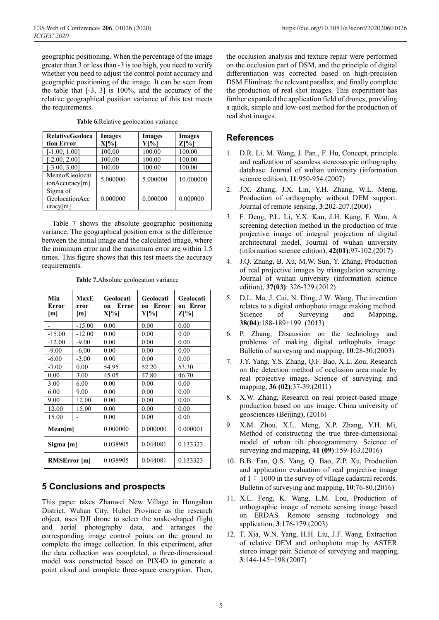geographic positioning. When the percentage of the image greater than 3 or less than -3 is too high, you need to verify whether you need to adjust the control point accuracy and geographic positioning of the image. It can be seen from the table that [-3, 3] is 100%, and the accuracy of the relative geographical position variance of this test meets the requirements.

|  | Table 6. Relative geolocation variance |  |
|--|----------------------------------------|--|
|  |                                        |  |

| <b>RelativeGeoloca</b> | <b>Images</b> | Images   | <b>Images</b> |
|------------------------|---------------|----------|---------------|
| tion Error             | $X[\%]$       | Y[%]     | $Z[\%]$       |
| $[-1.00, 1.00]$        | 100.00        | 100.00   | 100.00        |
| $-2.00, 2.00]$         | 100.00        | 100.00   | 100.00        |
| $[-3.00, 3.00]$        | 100.00        | 100.00   | 100.00        |
| MeanofGeolocat         | 5.000000      | 5.000000 | 10.000000     |
| ionAccuracy[m]         |               |          |               |
| Sigma of               |               |          |               |
| GeolocationAcc         | 0.000000      | 0.000000 | 0.000000      |
| uracy[m]               |               |          |               |

Table 7 shows the absolute geographic positioning variance. The geographical position error is the difference between the initial image and the calculated image, where the minimum error and the maximum error are within 1.5 times. This figure shows that this test meets the accuracy requirements.

|  | Table 7. Absolute geolocation variance |  |
|--|----------------------------------------|--|
|  |                                        |  |

| Min<br>Error<br>[m] | MaxE<br>rror<br>[m] | Geolocati<br>Error<br>0n<br>$X[\%]$ | Geolocati<br>Error<br>on<br>Y[%] | Geolocati<br>on Error<br>$Z[\%]$ |
|---------------------|---------------------|-------------------------------------|----------------------------------|----------------------------------|
|                     | $-15.00$            | 0.00                                | 0.00                             | 0.00                             |
| $-15.00$            | $-12.00$            | 0.00                                | 0.00                             | 0.00                             |
| $-12.00$            | $-9.00$             | 0.00                                | 0.00                             | 0.00                             |
| $-9.00$             | $-6.00$             | 0.00                                | 0.00                             | 0.00                             |
| $-6.00$             | $-3.00$             | 0.00                                | 0.00                             | 0.00                             |
| $-3.00$             | 0.00                | 54.95                               | 52.20                            | 53.30                            |
| 0.00                | 3.00                | 45.05                               | 47.80                            | 46.70                            |
| 3.00                | 6.00                | 0.00                                | 0.00                             | 0.00                             |
| 6.00                | 9.00                | 0.00                                | 0.00                             | 0.00                             |
| 9.00                | 12.00               | 0.00                                | 0.00                             | 0.00                             |
| 12.00               | 15.00               | 0.00                                | 0.00                             | 0.00                             |
| 15.00               |                     | 0.00                                | 0.00                             | 0.00                             |
| Mean[m]             |                     | 0.000000                            | 0.000000                         | 0.000001                         |
| Sigma [m]           |                     | 0.038905                            | 0.044081                         | 0.133323                         |
| <b>RMSError</b> [m] |                     | 0.038905                            | 0.044081                         | 0.133323                         |

# **5 Conclusions and prospects**

This paper takes Zhanwei New Village in Hongshan District, Wuhan City, Hubei Province as the research object, uses DJI drone to select the snake-shaped flight and aerial photography data, and arranges the corresponding image control points on the ground to complete the image collection. In this experiment, after the data collection was completed, a three-dimensional model was constructed based on PIX4D to generate a point cloud and complete three-space encryption. Then,

the occlusion analysis and texture repair were performed on the occlusion part of DSM, and the principle of digital differentiation was corrected based on high-precision DSM Eliminate the relevant parallax, and finally complete the production of real shot images. This experiment has further expanded the application field of drones, providing a quick, simple and low-cost method for the production of real shot images.

### **References**

- 1. D.R. Li, M. Wang, J. Pan., F. Hu, Concept, principle and realization of seamless stereoscopic orthography database. Journal of wuhan university (information science edition), **11**:950-954.(2007)
- 2. J.X. Zhang, J.X. Lin, Y.H. Zhang, W.L. Meng, Production of orthography without DEM support. Journal of remote sensing, **3**:202-207.(2000)
- 3. F. Deng, P.L. Li, Y.X. Kan, J.H. Kang, F. Wan, A screening detection method in the production of true projective image of integral projection of digital architectural model. Journal of wuhan university (information science edition), **42(01)**:97-102.(2017)
- 4. J.Q. Zhang, B. Xu, M.W. Sun, Y. Zhang, Production of real projective images by triangulation screening. Journal of wuhan university (information science edition), **37(03)**: 326-329.(2012)
- 5. D.L. Ma, J. Cui, N. Ding, J.W. Wang, The invention relates to a digital orthophoto image making method. Science of Surveying and Mapping, **38(04)**:188-189+199. (2013)
- 6. P. Zhang, Discussion on the technology and problems of making digital orthophoto image. Bulletin of surveying and mapping, **10**:28-30.(2003)
- 7. J.Y. Yang, Y.S. Zhang, Q.F. Bao, X.L. Zou, Research on the detection method of occlusion area made by real projective image. Science of surveying and mapping, **36 (02)**:37-39.(2011)
- 8. X.W. Zhang, Research on real project-based image production based on uav image. China university of geosciences (Beijing), (2016)
- 9. X.M. Zhou, X.L. Meng, X.P. Zhang, Y.H. Mi, Method of constructing the true three-dimensional model of urban tilt photogrammetry. Science of surveying and mapping, **41 (09)**:159-163.(2016)
- 10. B.B. Fan, Q.S. Yang, Q. Bao, Z.P. Xu, Production and application evaluation of real projective image of 1∶ 1000 in the survey of village cadastral records. Bulletin of surveying and mapping, **10**:76-80.(2016)
- 11. X.L. Feng, K. Wang, L.M. Lou, Production of orthographic image of remote sensing image based on ERDAS. Remote sensing technology and application, **3**:176-179.(2003)
- 12. T. Xia, W.N. Yang, H.H. Liu, J.F. Wang, Extraction of relative DEM and orthophoto map by ASTER stereo image pair. Science of surveying and mapping, **3**:144-145+198.(2007)